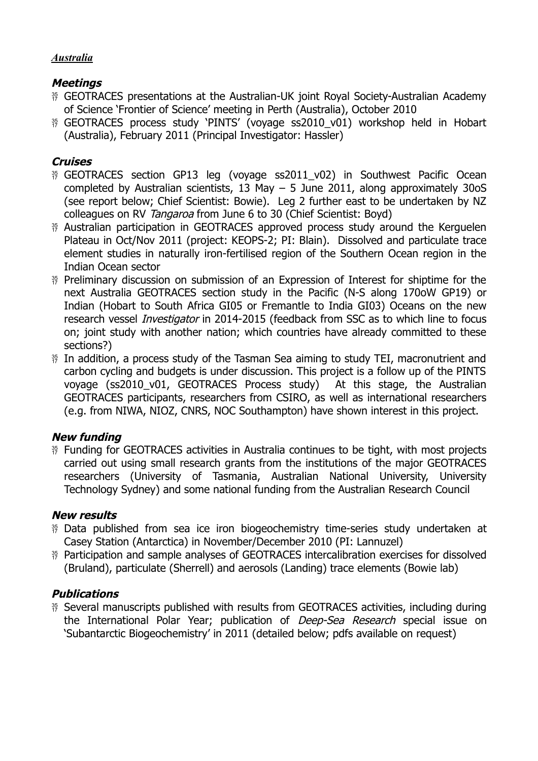#### *Australia*

# **Meetings**

- GEOTRACES presentations at the Australian-UK joint Royal Society-Australian Academy of Science 'Frontier of Science' meeting in Perth (Australia), October 2010
- <sup>35</sup> GEOTRACES process study 'PINTS' (voyage ss2010 v01) workshop held in Hobart (Australia), February 2011 (Principal Investigator: Hassler)

# **Cruises**

- <sup>35</sup> GEOTRACES section GP13 leg (voyage ss2011 v02) in Southwest Pacific Ocean completed by Australian scientists, 13 May  $-$  5 June 2011, along approximately 30oS (see report below; Chief Scientist: Bowie). Leg 2 further east to be undertaken by NZ colleagues on RV Tangaroa from June 6 to 30 (Chief Scientist: Boyd)
- <sup>35</sup> Australian participation in GEOTRACES approved process study around the Kerguelen Plateau in Oct/Nov 2011 (project: KEOPS-2; PI: Blain). Dissolved and particulate trace element studies in naturally iron-fertilised region of the Southern Ocean region in the Indian Ocean sector
- <sup>35</sup> Preliminary discussion on submission of an Expression of Interest for shiptime for the next Australia GEOTRACES section study in the Pacific (N-S along 170oW GP19) or Indian (Hobart to South Africa GI05 or Fremantle to India GI03) Oceans on the new research vessel *Investigator* in 2014-2015 (feedback from SSC as to which line to focus on; joint study with another nation; which countries have already committed to these sections?)
- <sup>35</sup> In addition, a process study of the Tasman Sea aiming to study TEI, macronutrient and carbon cycling and budgets is under discussion. This project is a follow up of the PINTS voyage (ss2010\_v01, GEOTRACES Process study) At this stage, the Australian GEOTRACES participants, researchers from CSIRO, as well as international researchers (e.g. from NIWA, NIOZ, CNRS, NOC Southampton) have shown interest in this project.

# **New funding**

<sup>35</sup> Funding for GEOTRACES activities in Australia continues to be tight, with most projects carried out using small research grants from the institutions of the major GEOTRACES researchers (University of Tasmania, Australian National University, University Technology Sydney) and some national funding from the Australian Research Council

# **New results**

- <sup>35</sup> Data published from sea ice iron biogeochemistry time-series study undertaken at Casey Station (Antarctica) in November/December 2010 (PI: Lannuzel)
- <sup>35</sup> Participation and sample analyses of GEOTRACES intercalibration exercises for dissolved (Bruland), particulate (Sherrell) and aerosols (Landing) trace elements (Bowie lab)

# **Publications**

<sup>35</sup> Several manuscripts published with results from GEOTRACES activities, including during the International Polar Year; publication of *Deep-Sea Research* special issue on 'Subantarctic Biogeochemistry' in 2011 (detailed below; pdfs available on request)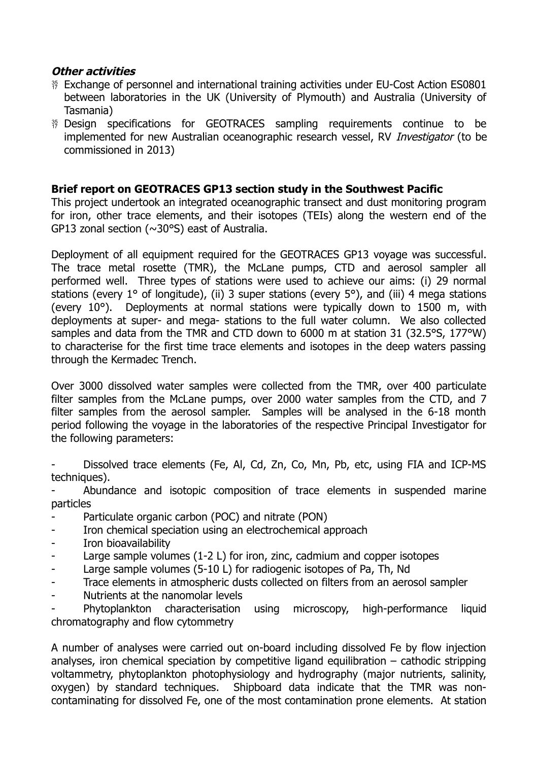### **Other activities**

- <sup>35</sup> Exchange of personnel and international training activities under EU-Cost Action ES0801 between laboratories in the UK (University of Plymouth) and Australia (University of Tasmania)
- <sup>35</sup> Design specifications for GEOTRACES sampling requirements continue to be implemented for new Australian oceanographic research vessel, RV *Investigator* (to be commissioned in 2013)

## **Brief report on GEOTRACES GP13 section study in the Southwest Pacific**

This project undertook an integrated oceanographic transect and dust monitoring program for iron, other trace elements, and their isotopes (TEIs) along the western end of the GP13 zonal section (~30°S) east of Australia.

Deployment of all equipment required for the GEOTRACES GP13 voyage was successful. The trace metal rosette (TMR), the McLane pumps, CTD and aerosol sampler all performed well. Three types of stations were used to achieve our aims: (i) 29 normal stations (every 1° of longitude), (ii) 3 super stations (every 5°), and (iii) 4 mega stations (every 10°). Deployments at normal stations were typically down to 1500 m, with deployments at super- and mega- stations to the full water column. We also collected samples and data from the TMR and CTD down to 6000 m at station 31 (32.5°S, 177°W) to characterise for the first time trace elements and isotopes in the deep waters passing through the Kermadec Trench.

Over 3000 dissolved water samples were collected from the TMR, over 400 particulate filter samples from the McLane pumps, over 2000 water samples from the CTD, and 7 filter samples from the aerosol sampler. Samples will be analysed in the 6-18 month period following the voyage in the laboratories of the respective Principal Investigator for the following parameters:

Dissolved trace elements (Fe, Al, Cd, Zn, Co, Mn, Pb, etc, using FIA and ICP-MS techniques).

Abundance and isotopic composition of trace elements in suspended marine particles

- Particulate organic carbon (POC) and nitrate (PON)
- Iron chemical speciation using an electrochemical approach
- Iron bioavailability
- Large sample volumes (1-2 L) for iron, zinc, cadmium and copper isotopes
- Large sample volumes (5-10 L) for radiogenic isotopes of Pa, Th, Nd
- Trace elements in atmospheric dusts collected on filters from an aerosol sampler
- Nutrients at the nanomolar levels

- Phytoplankton characterisation using microscopy, high-performance liquid chromatography and flow cytommetry

A number of analyses were carried out on-board including dissolved Fe by flow injection analyses, iron chemical speciation by competitive ligand equilibration – cathodic stripping voltammetry, phytoplankton photophysiology and hydrography (major nutrients, salinity, oxygen) by standard techniques. Shipboard data indicate that the TMR was noncontaminating for dissolved Fe, one of the most contamination prone elements. At station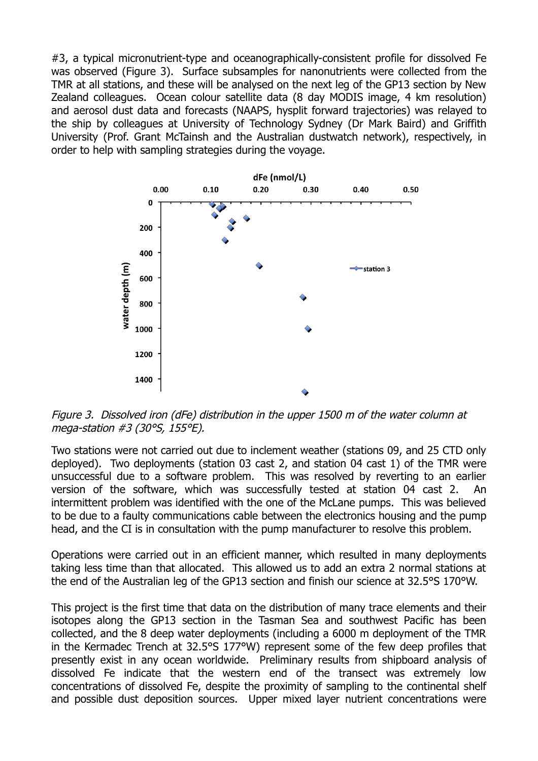#3, a typical micronutrient-type and oceanographically-consistent profile for dissolved Fe was observed (Figure 3). Surface subsamples for nanonutrients were collected from the TMR at all stations, and these will be analysed on the next leg of the GP13 section by New Zealand colleagues. Ocean colour satellite data (8 day MODIS image, 4 km resolution) and aerosol dust data and forecasts (NAAPS, hysplit forward trajectories) was relayed to the ship by colleagues at University of Technology Sydney (Dr Mark Baird) and Griffith University (Prof. Grant McTainsh and the Australian dustwatch network), respectively, in order to help with sampling strategies during the voyage.



Figure 3. Dissolved iron (dFe) distribution in the upper 1500 m of the water column at mega-station #3 (30°S, 155°E).

Two stations were not carried out due to inclement weather (stations 09, and 25 CTD only deployed). Two deployments (station 03 cast 2, and station 04 cast 1) of the TMR were unsuccessful due to a software problem. This was resolved by reverting to an earlier version of the software, which was successfully tested at station 04 cast 2. intermittent problem was identified with the one of the McLane pumps. This was believed to be due to a faulty communications cable between the electronics housing and the pump head, and the CI is in consultation with the pump manufacturer to resolve this problem.

Operations were carried out in an efficient manner, which resulted in many deployments taking less time than that allocated. This allowed us to add an extra 2 normal stations at the end of the Australian leg of the GP13 section and finish our science at 32.5°S 170°W.

This project is the first time that data on the distribution of many trace elements and their isotopes along the GP13 section in the Tasman Sea and southwest Pacific has been collected, and the 8 deep water deployments (including a 6000 m deployment of the TMR in the Kermadec Trench at 32.5°S 177°W) represent some of the few deep profiles that presently exist in any ocean worldwide. Preliminary results from shipboard analysis of dissolved Fe indicate that the western end of the transect was extremely low concentrations of dissolved Fe, despite the proximity of sampling to the continental shelf and possible dust deposition sources. Upper mixed layer nutrient concentrations were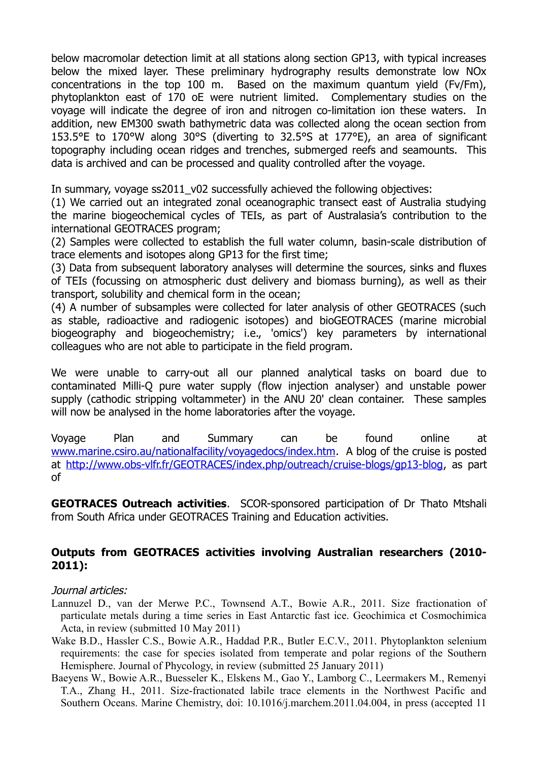below macromolar detection limit at all stations along section GP13, with typical increases below the mixed layer. These preliminary hydrography results demonstrate low NOx concentrations in the top 100 m. Based on the maximum quantum yield (Fv/Fm), phytoplankton east of 170 oE were nutrient limited. Complementary studies on the voyage will indicate the degree of iron and nitrogen co-limitation ion these waters. In addition, new EM300 swath bathymetric data was collected along the ocean section from 153.5°E to 170°W along 30°S (diverting to 32.5°S at 177°E), an area of significant topography including ocean ridges and trenches, submerged reefs and seamounts. This data is archived and can be processed and quality controlled after the voyage.

In summary, voyage ss2011\_v02 successfully achieved the following objectives:

(1) We carried out an integrated zonal oceanographic transect east of Australia studying the marine biogeochemical cycles of TEIs, as part of Australasia's contribution to the international GEOTRACES program;

(2) Samples were collected to establish the full water column, basin-scale distribution of trace elements and isotopes along GP13 for the first time;

(3) Data from subsequent laboratory analyses will determine the sources, sinks and fluxes of TEIs (focussing on atmospheric dust delivery and biomass burning), as well as their transport, solubility and chemical form in the ocean;

(4) A number of subsamples were collected for later analysis of other GEOTRACES (such as stable, radioactive and radiogenic isotopes) and bioGEOTRACES (marine microbial biogeography and biogeochemistry; i.e., 'omics') key parameters by international colleagues who are not able to participate in the field program.

We were unable to carry-out all our planned analytical tasks on board due to contaminated Milli-Q pure water supply (flow injection analyser) and unstable power supply (cathodic stripping voltammeter) in the ANU 20' clean container. These samples will now be analysed in the home laboratories after the voyage.

Voyage Plan and Summary can be found online at [www.marine.csiro.au/nationalfacility/voyagedocs/index.htm.](http://www.marine.csiro.au/nationalfacility/voyagedocs/index.htm) A blog of the cruise is posted at [http://www.obs-vlfr.fr/GEOTRACES/index.php/outreach/cruise-blogs/gp13-blog,](http://www.obs-vlfr.fr/GEOTRACES/index.php/outreach/cruise-blogs/gp13-blog) as part of

**GEOTRACES Outreach activities**. SCOR-sponsored participation of Dr Thato Mtshali from South Africa under GEOTRACES Training and Education activities.

#### **Outputs from GEOTRACES activities involving Australian researchers (2010- 2011):**

#### Journal articles:

- Lannuzel D., van der Merwe P.C., Townsend A.T., Bowie A.R., 2011. Size fractionation of particulate metals during a time series in East Antarctic fast ice. Geochimica et Cosmochimica Acta, in review (submitted 10 May 2011)
- Wake B.D., Hassler C.S., Bowie A.R., Haddad P.R., Butler E.C.V., 2011. Phytoplankton selenium requirements: the case for species isolated from temperate and polar regions of the Southern Hemisphere. Journal of Phycology, in review (submitted 25 January 2011)
- Baeyens W., Bowie A.R., Buesseler K., Elskens M., Gao Y., Lamborg C., Leermakers M., Remenyi T.A., Zhang H., 2011. Size-fractionated labile trace elements in the Northwest Pacific and Southern Oceans. Marine Chemistry, doi: 10.1016/j.marchem.2011.04.004, in press (accepted 11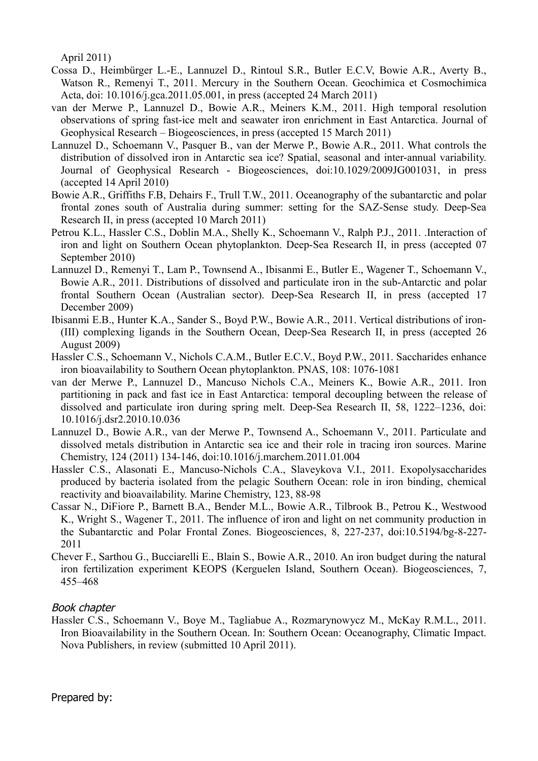April 2011)

- Cossa D., Heimbürger L.-E., Lannuzel D., Rintoul S.R., Butler E.C.V, Bowie A.R., Averty B., Watson R., Remenyi T., 2011. Mercury in the Southern Ocean. Geochimica et Cosmochimica Acta, doi: 10.1016/j.gca.2011.05.001, in press (accepted 24 March 2011)
- van der Merwe P., Lannuzel D., Bowie A.R., Meiners K.M., 2011. High temporal resolution observations of spring fast-ice melt and seawater iron enrichment in East Antarctica. Journal of Geophysical Research – Biogeosciences, in press (accepted 15 March 2011)
- Lannuzel D., Schoemann V., Pasquer B., van der Merwe P., Bowie A.R., 2011. What controls the distribution of dissolved iron in Antarctic sea ice? Spatial, seasonal and inter-annual variability. Journal of Geophysical Research - Biogeosciences, doi:10.1029/2009JG001031, in press (accepted 14 April 2010)
- Bowie A.R., Griffiths F.B, Dehairs F., Trull T.W., 2011. Oceanography of the subantarctic and polar frontal zones south of Australia during summer: setting for the SAZ-Sense study. Deep-Sea Research II, in press (accepted 10 March 2011)
- Petrou K.L., Hassler C.S., Doblin M.A., Shelly K., Schoemann V., Ralph P.J., 2011. .Interaction of iron and light on Southern Ocean phytoplankton. Deep-Sea Research II, in press (accepted 07 September 2010)
- Lannuzel D., Remenyi T., Lam P., Townsend A., Ibisanmi E., Butler E., Wagener T., Schoemann V., Bowie A.R., 2011. Distributions of dissolved and particulate iron in the sub-Antarctic and polar frontal Southern Ocean (Australian sector). Deep-Sea Research II, in press (accepted 17 December 2009)
- Ibisanmi E.B., Hunter K.A., Sander S., Boyd P.W., Bowie A.R., 2011. Vertical distributions of iron- (III) complexing ligands in the Southern Ocean, Deep-Sea Research II, in press (accepted 26 August 2009)
- Hassler C.S., Schoemann V., Nichols C.A.M., Butler E.C.V., Boyd P.W., 2011. Saccharides enhance iron bioavailability to Southern Ocean phytoplankton. PNAS, 108: 1076-1081
- van der Merwe P., Lannuzel D., Mancuso Nichols C.A., Meiners K., Bowie A.R., 2011. Iron partitioning in pack and fast ice in East Antarctica: temporal decoupling between the release of dissolved and particulate iron during spring melt. Deep-Sea Research II, 58, 1222–1236, doi: 10.1016/j.dsr2.2010.10.036
- Lannuzel D., Bowie A.R., van der Merwe P., Townsend A., Schoemann V., 2011. Particulate and dissolved metals distribution in Antarctic sea ice and their role in tracing iron sources. Marine Chemistry, 124 (2011) 134-146, doi:10.1016/j.marchem.2011.01.004
- Hassler C.S., Alasonati E., Mancuso-Nichols C.A., Slaveykova V.I., 2011. Exopolysaccharides produced by bacteria isolated from the pelagic Southern Ocean: role in iron binding, chemical reactivity and bioavailability. Marine Chemistry, 123, 88-98
- Cassar N., DiFiore P., Barnett B.A., Bender M.L., Bowie A.R., Tilbrook B., Petrou K., Westwood K., Wright S., Wagener T., 2011. The influence of iron and light on net community production in the Subantarctic and Polar Frontal Zones. Biogeosciences, 8, 227-237, doi:10.5194/bg-8-227- 2011
- Chever F., Sarthou G., Bucciarelli E., Blain S., Bowie A.R., 2010. An iron budget during the natural iron fertilization experiment KEOPS (Kerguelen Island, Southern Ocean). Biogeosciences, 7, 455–468

#### Book chapter

Hassler C.S., Schoemann V., Boye M., Tagliabue A., Rozmarynowycz M., McKay R.M.L., 2011. Iron Bioavailability in the Southern Ocean. In: Southern Ocean: Oceanography, Climatic Impact. Nova Publishers, in review (submitted 10 April 2011).